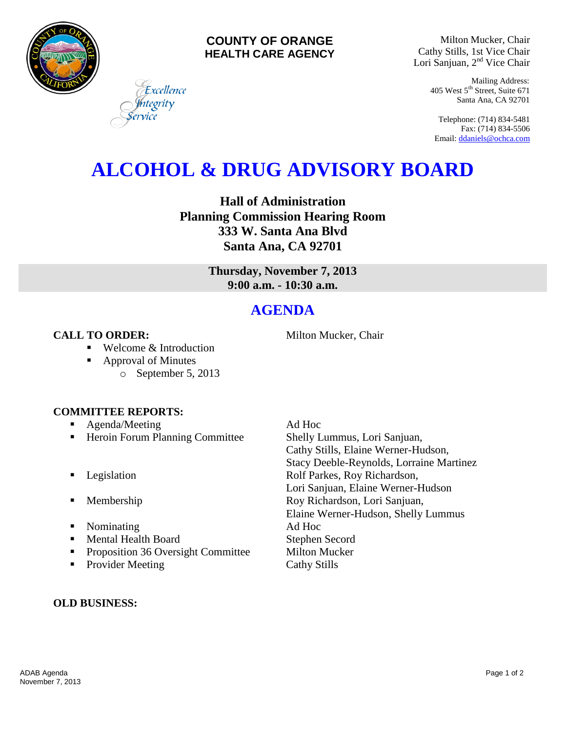

### **COUNTY OF ORANGE HEALTH CARE AGENCY**

Milton Mucker, Chair Cathy Stills, 1st Vice Chair Lori Sanjuan, 2<sup>nd</sup> Vice Chair

> Mailing Address: 405 West 5th Street, Suite 671 Santa Ana, CA 92701

Telephone: (714) 834-5481 Fax: (714) 834-5506 Email[: ddaniels@ochca.com](mailto:ddaniels@ochca.com)

## **ALCOHOL & DRUG ADVISORY BOARD**

**Hall of Administration Planning Commission Hearing Room 333 W. Santa Ana Blvd Santa Ana, CA 92701**

> **Thursday, November 7, 2013 9:00 a.m. - 10:30 a.m.**

### **AGENDA**

### **CALL TO ORDER:** Milton Mucker, Chair

- Welcome & Introduction
- Approval of Minutes
	- o September 5, 2013

Excellence tegrity

### **COMMITTEE REPORTS:**

- Agenda/Meeting Ad Hoc
- **Heroin Forum Planning Committee Shelly Lummus, Lori Sanjuan,**
- 
- 
- Nominating Ad Hoc
- Mental Health Board Stephen Secord
- **•** Proposition 36 Oversight Committee Milton Mucker
- Provider Meeting Cathy Stills

# Cathy Stills, Elaine Werner-Hudson, Stacy Deeble-Reynolds, Lorraine Martinez **Example 3** Legislation **Rolf Parkes, Roy Richardson,** Lori Sanjuan, Elaine Werner-Hudson **Membership Roy Richardson, Lori Sanjuan,** Elaine Werner-Hudson, Shelly Lummus

### **OLD BUSINESS:**